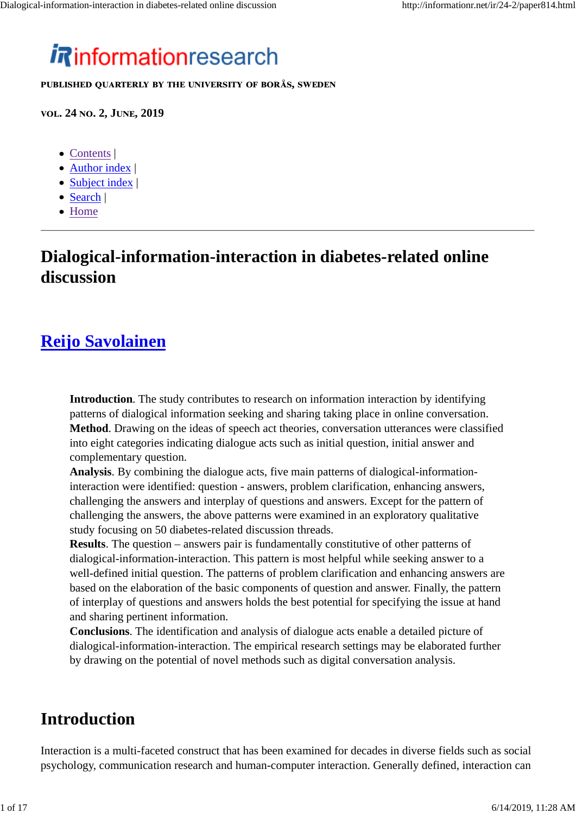# *i* Rinformationresearch

**8UBLISHED QUARTERLY BY THE UNIVERSITY OF BORÅS, SWEDEN** 

**ඏඈඅ. 24 ඇඈ. 2, Jඎඇൾ, 2019**

- Contents |
- Author index |
- Subject index |
- Search |
- Home

# **Dialogical-information-interaction in diabetes-related online discussion**

# **Reijo Savolainen**

**Introduction**. The study contributes to research on information interaction by identifying patterns of dialogical information seeking and sharing taking place in online conversation. **Method**. Drawing on the ideas of speech act theories, conversation utterances were classified into eight categories indicating dialogue acts such as initial question, initial answer and complementary question.

**Analysis**. By combining the dialogue acts, five main patterns of dialogical-informationinteraction were identified: question - answers, problem clarification, enhancing answers, challenging the answers and interplay of questions and answers. Except for the pattern of challenging the answers, the above patterns were examined in an exploratory qualitative study focusing on 50 diabetes-related discussion threads.

**Results**. The question – answers pair is fundamentally constitutive of other patterns of dialogical-information-interaction. This pattern is most helpful while seeking answer to a well-defined initial question. The patterns of problem clarification and enhancing answers are based on the elaboration of the basic components of question and answer. Finally, the pattern of interplay of questions and answers holds the best potential for specifying the issue at hand and sharing pertinent information.

**Conclusions**. The identification and analysis of dialogue acts enable a detailed picture of dialogical-information-interaction. The empirical research settings may be elaborated further by drawing on the potential of novel methods such as digital conversation analysis.

## **Introduction**

Interaction is a multi-faceted construct that has been examined for decades in diverse fields such as social psychology, communication research and human-computer interaction. Generally defined, interaction can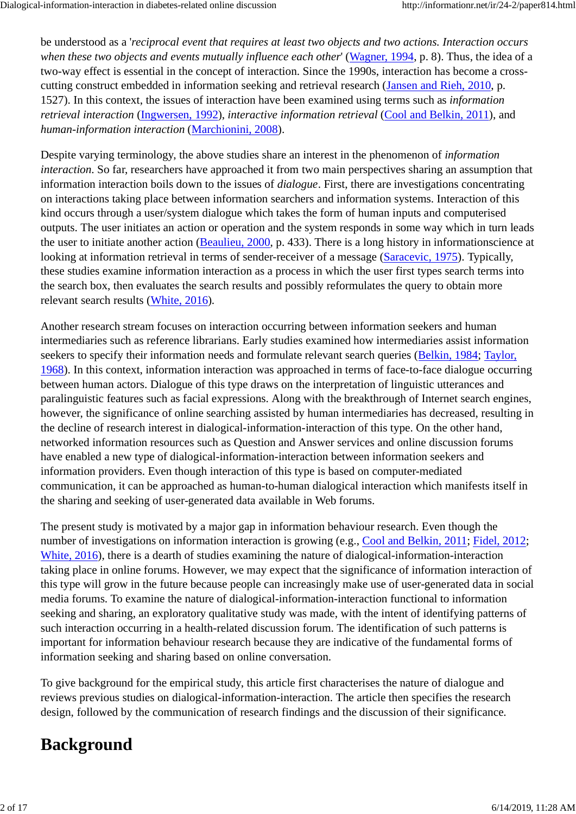be understood as a '*reciprocal event that requires at least two objects and two actions. Interaction occurs when these two objects and events mutually influence each other*' (Wagner, 1994, p. 8). Thus, the idea of a two-way effect is essential in the concept of interaction. Since the 1990s, interaction has become a crosscutting construct embedded in information seeking and retrieval research (Jansen and Rieh, 2010, p. 1527). In this context, the issues of interaction have been examined using terms such as *information retrieval interaction* (Ingwersen, 1992), *interactive information retrieval* (Cool and Belkin, 2011), and *human-information interaction* (Marchionini, 2008).

Despite varying terminology, the above studies share an interest in the phenomenon of *information interaction*. So far, researchers have approached it from two main perspectives sharing an assumption that information interaction boils down to the issues of *dialogue*. First, there are investigations concentrating on interactions taking place between information searchers and information systems. Interaction of this kind occurs through a user/system dialogue which takes the form of human inputs and computerised outputs. The user initiates an action or operation and the system responds in some way which in turn leads the user to initiate another action (Beaulieu, 2000, p. 433). There is a long history in informationscience at looking at information retrieval in terms of sender-receiver of a message (Saracevic, 1975). Typically, these studies examine information interaction as a process in which the user first types search terms into the search box, then evaluates the search results and possibly reformulates the query to obtain more relevant search results (White, 2016).

Another research stream focuses on interaction occurring between information seekers and human intermediaries such as reference librarians. Early studies examined how intermediaries assist information seekers to specify their information needs and formulate relevant search queries (Belkin, 1984; Taylor, 1968). In this context, information interaction was approached in terms of face-to-face dialogue occurring between human actors. Dialogue of this type draws on the interpretation of linguistic utterances and paralinguistic features such as facial expressions. Along with the breakthrough of Internet search engines, however, the significance of online searching assisted by human intermediaries has decreased, resulting in the decline of research interest in dialogical-information-interaction of this type. On the other hand, networked information resources such as Question and Answer services and online discussion forums have enabled a new type of dialogical-information-interaction between information seekers and information providers. Even though interaction of this type is based on computer-mediated communication, it can be approached as human-to-human dialogical interaction which manifests itself in the sharing and seeking of user-generated data available in Web forums.

The present study is motivated by a major gap in information behaviour research. Even though the number of investigations on information interaction is growing (e.g., Cool and Belkin, 2011; Fidel, 2012; White, 2016), there is a dearth of studies examining the nature of dialogical-information-interaction taking place in online forums. However, we may expect that the significance of information interaction of this type will grow in the future because people can increasingly make use of user-generated data in social media forums. To examine the nature of dialogical-information-interaction functional to information seeking and sharing, an exploratory qualitative study was made, with the intent of identifying patterns of such interaction occurring in a health-related discussion forum. The identification of such patterns is important for information behaviour research because they are indicative of the fundamental forms of information seeking and sharing based on online conversation.

To give background for the empirical study, this article first characterises the nature of dialogue and reviews previous studies on dialogical-information-interaction. The article then specifies the research design, followed by the communication of research findings and the discussion of their significance.

# **Background**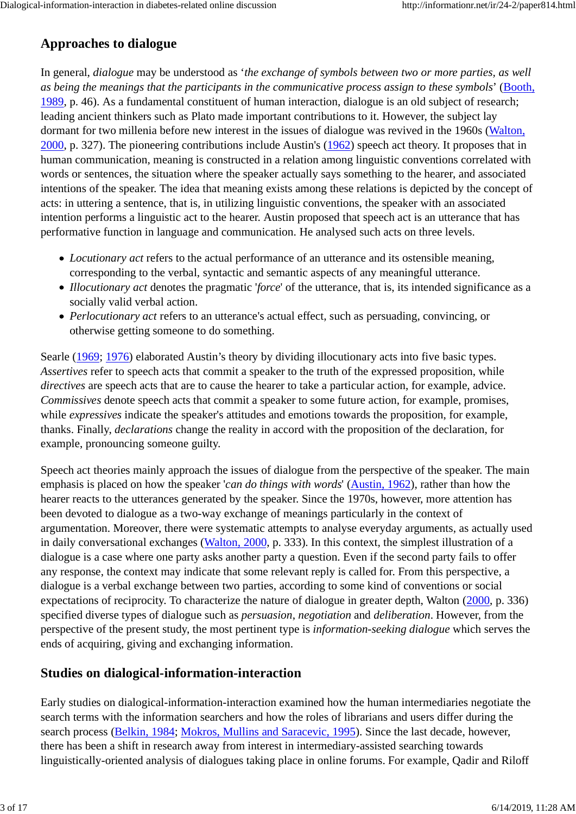### **Approaches to dialogue**

In general, *dialogue* may be understood as '*the exchange of symbols between two or more parties, as well as being the meanings that the participants in the communicative process assign to these symbols*' (Booth, 1989, p. 46). As a fundamental constituent of human interaction, dialogue is an old subject of research; leading ancient thinkers such as Plato made important contributions to it. However, the subject lay dormant for two millenia before new interest in the issues of dialogue was revived in the 1960s (Walton, 2000, p. 327). The pioneering contributions include Austin's (1962) speech act theory. It proposes that in human communication, meaning is constructed in a relation among linguistic conventions correlated with words or sentences, the situation where the speaker actually says something to the hearer, and associated intentions of the speaker. The idea that meaning exists among these relations is depicted by the concept of acts: in uttering a sentence, that is, in utilizing linguistic conventions, the speaker with an associated intention performs a linguistic act to the hearer. Austin proposed that speech act is an utterance that has performative function in language and communication. He analysed such acts on three levels.

- *Locutionary act* refers to the actual performance of an utterance and its ostensible meaning, corresponding to the verbal, syntactic and semantic aspects of any meaningful utterance.
- *Illocutionary act* denotes the pragmatic '*force*' of the utterance, that is, its intended significance as a socially valid verbal action.
- *Perlocutionary act* refers to an utterance's actual effect, such as persuading, convincing, or otherwise getting someone to do something.

Searle (1969; 1976) elaborated Austin's theory by dividing illocutionary acts into five basic types. *Assertives* refer to speech acts that commit a speaker to the truth of the expressed proposition, while *directives* are speech acts that are to cause the hearer to take a particular action, for example, advice. *Commissives* denote speech acts that commit a speaker to some future action, for example, promises, while *expressives* indicate the speaker's attitudes and emotions towards the proposition, for example, thanks. Finally, *declarations* change the reality in accord with the proposition of the declaration, for example, pronouncing someone guilty.

Speech act theories mainly approach the issues of dialogue from the perspective of the speaker. The main emphasis is placed on how the speaker '*can do things with words*' (Austin, 1962), rather than how the hearer reacts to the utterances generated by the speaker. Since the 1970s, however, more attention has been devoted to dialogue as a two-way exchange of meanings particularly in the context of argumentation. Moreover, there were systematic attempts to analyse everyday arguments, as actually used in daily conversational exchanges (Walton, 2000, p. 333). In this context, the simplest illustration of a dialogue is a case where one party asks another party a question. Even if the second party fails to offer any response, the context may indicate that some relevant reply is called for. From this perspective, a dialogue is a verbal exchange between two parties, according to some kind of conventions or social expectations of reciprocity. To characterize the nature of dialogue in greater depth, Walton (2000, p. 336) specified diverse types of dialogue such as *persuasion*, *negotiation* and *deliberation*. However, from the perspective of the present study, the most pertinent type is *information-seeking dialogue* which serves the ends of acquiring, giving and exchanging information.

### **Studies on dialogical-information-interaction**

Early studies on dialogical-information-interaction examined how the human intermediaries negotiate the search terms with the information searchers and how the roles of librarians and users differ during the search process (Belkin, 1984; Mokros, Mullins and Saracevic, 1995). Since the last decade, however, there has been a shift in research away from interest in intermediary-assisted searching towards linguistically-oriented analysis of dialogues taking place in online forums. For example, Qadir and Riloff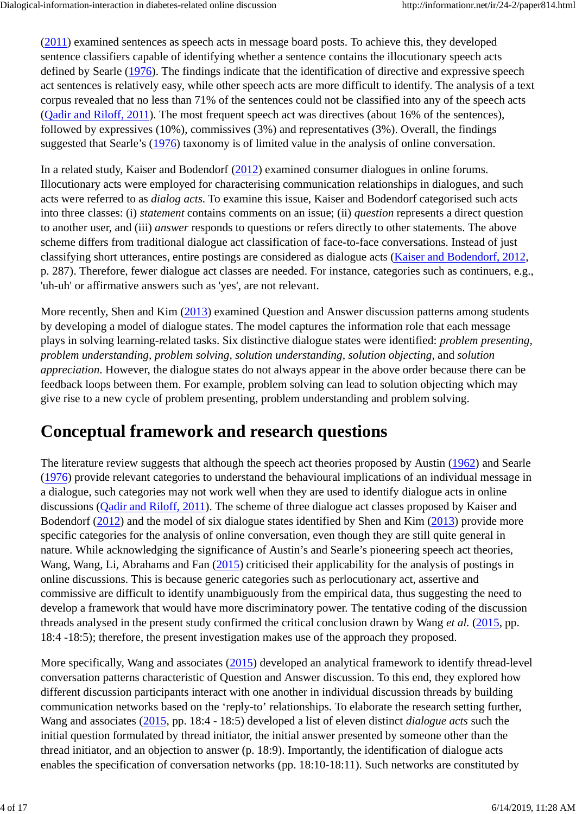(2011) examined sentences as speech acts in message board posts. To achieve this, they developed sentence classifiers capable of identifying whether a sentence contains the illocutionary speech acts defined by Searle (1976). The findings indicate that the identification of directive and expressive speech act sentences is relatively easy, while other speech acts are more difficult to identify. The analysis of a text corpus revealed that no less than 71% of the sentences could not be classified into any of the speech acts (Qadir and Riloff, 2011). The most frequent speech act was directives (about 16% of the sentences), followed by expressives (10%), commissives (3%) and representatives (3%). Overall, the findings suggested that Searle's (1976) taxonomy is of limited value in the analysis of online conversation.

In a related study, Kaiser and Bodendorf (2012) examined consumer dialogues in online forums. Illocutionary acts were employed for characterising communication relationships in dialogues, and such acts were referred to as *dialog acts*. To examine this issue, Kaiser and Bodendorf categorised such acts into three classes: (i) *statement* contains comments on an issue; (ii) *question* represents a direct question to another user, and (iii) *answer* responds to questions or refers directly to other statements. The above scheme differs from traditional dialogue act classification of face-to-face conversations. Instead of just classifying short utterances, entire postings are considered as dialogue acts (Kaiser and Bodendorf, 2012, p. 287). Therefore, fewer dialogue act classes are needed. For instance, categories such as continuers, e.g., 'uh-uh' or affirmative answers such as 'yes', are not relevant.

More recently, Shen and Kim (2013) examined Question and Answer discussion patterns among students by developing a model of dialogue states. The model captures the information role that each message plays in solving learning-related tasks. Six distinctive dialogue states were identified: *problem presenting, problem understanding, problem solving, solution understanding, solution objecting,* and *solution appreciation*. However, the dialogue states do not always appear in the above order because there can be feedback loops between them. For example, problem solving can lead to solution objecting which may give rise to a new cycle of problem presenting, problem understanding and problem solving.

# **Conceptual framework and research questions**

The literature review suggests that although the speech act theories proposed by Austin (1962) and Searle (1976) provide relevant categories to understand the behavioural implications of an individual message in a dialogue, such categories may not work well when they are used to identify dialogue acts in online discussions (Qadir and Riloff, 2011). The scheme of three dialogue act classes proposed by Kaiser and Bodendorf (2012) and the model of six dialogue states identified by Shen and Kim (2013) provide more specific categories for the analysis of online conversation, even though they are still quite general in nature. While acknowledging the significance of Austin's and Searle's pioneering speech act theories, Wang, Wang, Li, Abrahams and Fan (2015) criticised their applicability for the analysis of postings in online discussions. This is because generic categories such as perlocutionary act, assertive and commissive are difficult to identify unambiguously from the empirical data, thus suggesting the need to develop a framework that would have more discriminatory power. The tentative coding of the discussion threads analysed in the present study confirmed the critical conclusion drawn by Wang *et al.* (2015, pp. 18:4 -18:5); therefore, the present investigation makes use of the approach they proposed.

More specifically, Wang and associates (2015) developed an analytical framework to identify thread-level conversation patterns characteristic of Question and Answer discussion. To this end, they explored how different discussion participants interact with one another in individual discussion threads by building communication networks based on the 'reply-to' relationships. To elaborate the research setting further, Wang and associates (2015, pp. 18:4 - 18:5) developed a list of eleven distinct *dialogue acts* such the initial question formulated by thread initiator, the initial answer presented by someone other than the thread initiator, and an objection to answer (p. 18:9). Importantly, the identification of dialogue acts enables the specification of conversation networks (pp. 18:10-18:11). Such networks are constituted by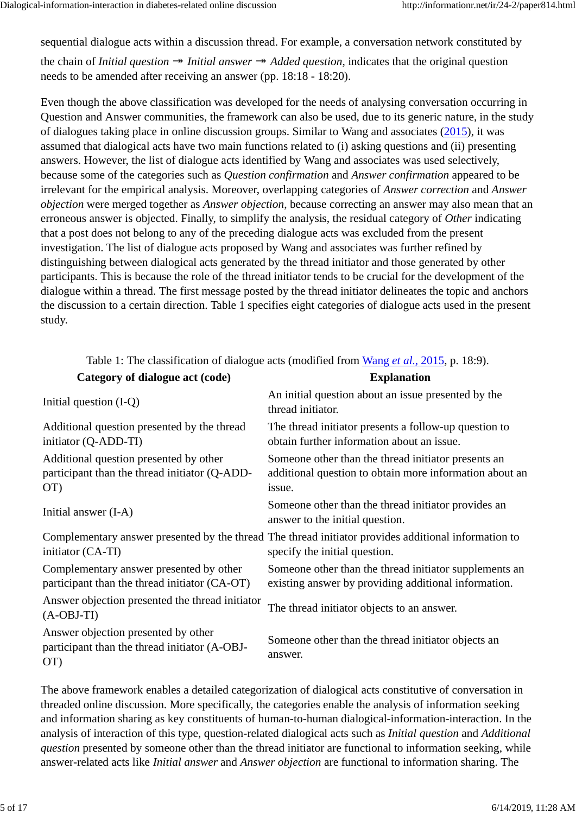sequential dialogue acts within a discussion thread. For example, a conversation network constituted by the chain of *Initial question*  $\rightarrow$  *Initial answer*  $\rightarrow$  *Added question*, indicates that the original question

needs to be amended after receiving an answer (pp. 18:18 - 18:20).

Even though the above classification was developed for the needs of analysing conversation occurring in Question and Answer communities, the framework can also be used, due to its generic nature, in the study of dialogues taking place in online discussion groups. Similar to Wang and associates (2015), it was assumed that dialogical acts have two main functions related to (i) asking questions and (ii) presenting answers. However, the list of dialogue acts identified by Wang and associates was used selectively, because some of the categories such as *Question confirmation* and *Answer confirmation* appeared to be irrelevant for the empirical analysis. Moreover, overlapping categories of *Answer correction* and *Answer objection* were merged together as *Answer objection*, because correcting an answer may also mean that an erroneous answer is objected. Finally, to simplify the analysis, the residual category of *Other* indicating that a post does not belong to any of the preceding dialogue acts was excluded from the present investigation. The list of dialogue acts proposed by Wang and associates was further refined by distinguishing between dialogical acts generated by the thread initiator and those generated by other participants. This is because the role of the thread initiator tends to be crucial for the development of the dialogue within a thread. The first message posted by the thread initiator delineates the topic and anchors the discussion to a certain direction. Table 1 specifies eight categories of dialogue acts used in the present study.

| Category of dialogue act (code)                                                                | <b>Explanation</b>                                                                                                                    |  |  |
|------------------------------------------------------------------------------------------------|---------------------------------------------------------------------------------------------------------------------------------------|--|--|
| Initial question $(I-Q)$                                                                       | An initial question about an issue presented by the<br>thread initiator.                                                              |  |  |
| Additional question presented by the thread<br>initiator (Q-ADD-TI)                            | The thread initiator presents a follow-up question to<br>obtain further information about an issue.                                   |  |  |
| Additional question presented by other<br>participant than the thread initiator (Q-ADD-<br>OT) | Someone other than the thread initiator presents an<br>additional question to obtain more information about an<br>issue.              |  |  |
| Initial answer (I-A)                                                                           | Someone other than the thread initiator provides an<br>answer to the initial question.                                                |  |  |
| initiator (CA-TI)                                                                              | Complementary answer presented by the thread The thread initiator provides additional information to<br>specify the initial question. |  |  |
| Complementary answer presented by other<br>participant than the thread initiator (CA-OT)       | Someone other than the thread initiator supplements an<br>existing answer by providing additional information.                        |  |  |
| Answer objection presented the thread initiator<br>$(A-OBJ-TI)$                                | The thread initiator objects to an answer.                                                                                            |  |  |
| Answer objection presented by other<br>participant than the thread initiator (A-OBJ-<br>OT)    | Someone other than the thread initiator objects an<br>answer.                                                                         |  |  |

Table 1: The classification of dialogue acts (modified from Wang *et al.*, 2015, p. 18:9).

The above framework enables a detailed categorization of dialogical acts constitutive of conversation in threaded online discussion. More specifically, the categories enable the analysis of information seeking and information sharing as key constituents of human-to-human dialogical-information-interaction. In the analysis of interaction of this type, question-related dialogical acts such as *Initial question* and *Additional question* presented by someone other than the thread initiator are functional to information seeking, while answer-related acts like *Initial answer* and *Answer objection* are functional to information sharing. The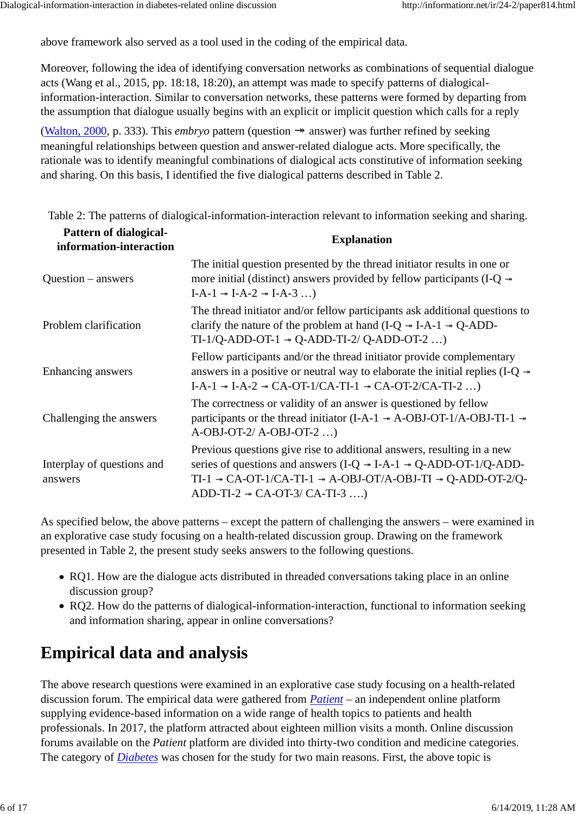above framework also served as a tool used in the coding of the empirical data.

Moreover, following the idea of identifying conversation networks as combinations of sequential dialogue acts (Wang et al., 2015, pp. 18:18, 18:20), an attempt was made to specify patterns of dialogicalinformation-interaction. Similar to conversation networks, these patterns were formed by departing from the assumption that dialogue usually begins with an explicit or implicit question which calls for a reply

(Walton, 2000, p. 333). This *embryo* pattern (question → answer) was further refined by seeking meaningful relationships between question and answer-related dialogue acts. More specifically, the rationale was to identify meaningful combinations of dialogical acts constitutive of information seeking and sharing. On this basis, I identified the five dialogical patterns described in Table 2.

Table 2: The patterns of dialogical-information-interaction relevant to information seeking and sharing. **Pattern of dialogical-**

| I attend of dialogical-<br>information-interaction | <b>Explanation</b>                                                                                                                                                                                                                                                                                               |
|----------------------------------------------------|------------------------------------------------------------------------------------------------------------------------------------------------------------------------------------------------------------------------------------------------------------------------------------------------------------------|
| $Question - answers$                               | The initial question presented by the thread initiator results in one or<br>more initial (distinct) answers provided by fellow participants (I-Q $\rightarrow$<br>$I-A-1 \rightarrow I-A-2 \rightarrow I-A-3$                                                                                                    |
| Problem clarification                              | The thread initiator and/or fellow participants ask additional questions to<br>clarify the nature of the problem at hand $(I-Q \rightarrow I-A-1 \rightarrow Q-ADD-$<br>$TI-1/Q-ADD-OT-1 \rightarrow Q-ADD-TI-2/Q-ADD-OT-2$ )                                                                                    |
| Enhancing answers                                  | Fellow participants and/or the thread initiator provide complementary<br>answers in a positive or neutral way to elaborate the initial replies (I-Q $\rightarrow$<br>I-A-1 $\rightarrow$ I-A-2 $\rightarrow$ CA-OT-1/CA-TI-1 $\rightarrow$ CA-OT-2/CA-TI-2 )                                                     |
| Challenging the answers                            | The correctness or validity of an answer is questioned by fellow<br>participants or the thread initiator (I-A-1 $\rightarrow$ A-OBJ-OT-1/A-OBJ-TI-1 $\rightarrow$<br>$A-OBJ-OT-2/ A-OBJ-OT-2$                                                                                                                    |
| Interplay of questions and<br>answers              | Previous questions give rise to additional answers, resulting in a new<br>series of questions and answers (I-Q $\rightarrow$ I-A-1 $\rightarrow$ Q-ADD-OT-1/Q-ADD-<br>TI-1 $\rightarrow$ CA-OT-1/CA-TI-1 $\rightarrow$ A-OBJ-OT/A-OBJ-TI $\rightarrow$ Q-ADD-OT-2/Q-<br>ADD-TI-2 $\rightarrow$ CA-OT-3/CA-TI-3 ) |

As specified below, the above patterns – except the pattern of challenging the answers – were examined in an explorative case study focusing on a health-related discussion group. Drawing on the framework presented in Table 2, the present study seeks answers to the following questions.

- RQ1. How are the dialogue acts distributed in threaded conversations taking place in an online discussion group?
- RQ2. How do the patterns of dialogical-information-interaction, functional to information seeking and information sharing, appear in online conversations?

# **Empirical data and analysis**

The above research questions were examined in an explorative case study focusing on a health-related discussion forum. The empirical data were gathered from *Patient* – an independent online platform supplying evidence-based information on a wide range of health topics to patients and health professionals. In 2017, the platform attracted about eighteen million visits a month. Online discussion forums available on the *Patient* platform are divided into thirty-two condition and medicine categories. The category of *Diabetes* was chosen for the study for two main reasons. First, the above topic is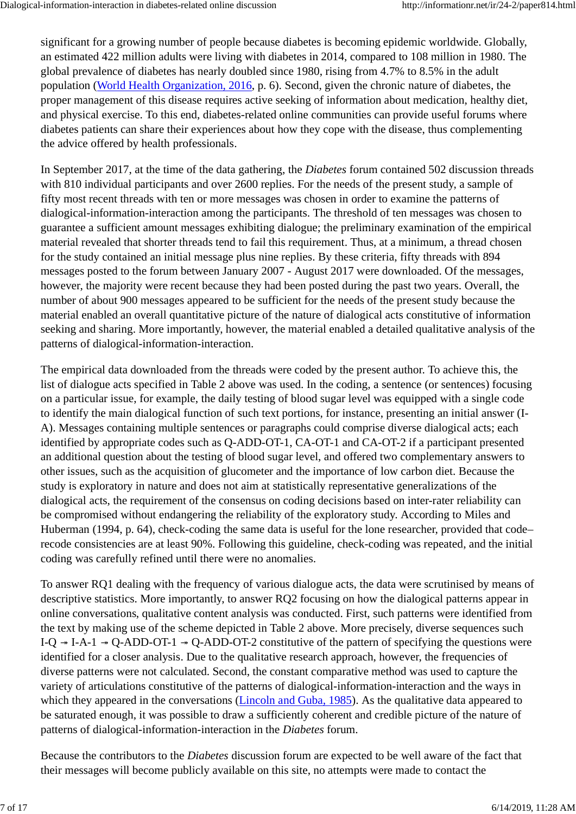significant for a growing number of people because diabetes is becoming epidemic worldwide. Globally, an estimated 422 million adults were living with diabetes in 2014, compared to 108 million in 1980. The global prevalence of diabetes has nearly doubled since 1980, rising from 4.7% to 8.5% in the adult population (World Health Organization, 2016, p. 6). Second, given the chronic nature of diabetes, the proper management of this disease requires active seeking of information about medication, healthy diet, and physical exercise. To this end, diabetes-related online communities can provide useful forums where diabetes patients can share their experiences about how they cope with the disease, thus complementing the advice offered by health professionals.

In September 2017, at the time of the data gathering, the *Diabetes* forum contained 502 discussion threads with 810 individual participants and over 2600 replies. For the needs of the present study, a sample of fifty most recent threads with ten or more messages was chosen in order to examine the patterns of dialogical-information-interaction among the participants. The threshold of ten messages was chosen to guarantee a sufficient amount messages exhibiting dialogue; the preliminary examination of the empirical material revealed that shorter threads tend to fail this requirement. Thus, at a minimum, a thread chosen for the study contained an initial message plus nine replies. By these criteria, fifty threads with 894 messages posted to the forum between January 2007 - August 2017 were downloaded. Of the messages, however, the majority were recent because they had been posted during the past two years. Overall, the number of about 900 messages appeared to be sufficient for the needs of the present study because the material enabled an overall quantitative picture of the nature of dialogical acts constitutive of information seeking and sharing. More importantly, however, the material enabled a detailed qualitative analysis of the patterns of dialogical-information-interaction.

The empirical data downloaded from the threads were coded by the present author. To achieve this, the list of dialogue acts specified in Table 2 above was used. In the coding, a sentence (or sentences) focusing on a particular issue, for example, the daily testing of blood sugar level was equipped with a single code to identify the main dialogical function of such text portions, for instance, presenting an initial answer (I-A). Messages containing multiple sentences or paragraphs could comprise diverse dialogical acts; each identified by appropriate codes such as Q-ADD-OT-1, CA-OT-1 and CA-OT-2 if a participant presented an additional question about the testing of blood sugar level, and offered two complementary answers to other issues, such as the acquisition of glucometer and the importance of low carbon diet. Because the study is exploratory in nature and does not aim at statistically representative generalizations of the dialogical acts, the requirement of the consensus on coding decisions based on inter-rater reliability can be compromised without endangering the reliability of the exploratory study. According to Miles and Huberman (1994, p. 64), check-coding the same data is useful for the lone researcher, provided that code– recode consistencies are at least 90%. Following this guideline, check-coding was repeated, and the initial coding was carefully refined until there were no anomalies.

To answer RQ1 dealing with the frequency of various dialogue acts, the data were scrutinised by means of descriptive statistics. More importantly, to answer RQ2 focusing on how the dialogical patterns appear in online conversations, qualitative content analysis was conducted. First, such patterns were identified from the text by making use of the scheme depicted in Table 2 above. More precisely, diverse sequences such I-Q  $\rightarrow$  I-A-1  $\rightarrow$  Q-ADD-OT-1  $\rightarrow$  Q-ADD-OT-2 constitutive of the pattern of specifying the questions were identified for a closer analysis. Due to the qualitative research approach, however, the frequencies of diverse patterns were not calculated. Second, the constant comparative method was used to capture the variety of articulations constitutive of the patterns of dialogical-information-interaction and the ways in which they appeared in the conversations (Lincoln and Guba, 1985). As the qualitative data appeared to be saturated enough, it was possible to draw a sufficiently coherent and credible picture of the nature of patterns of dialogical-information-interaction in the *Diabetes* forum.

Because the contributors to the *Diabetes* discussion forum are expected to be well aware of the fact that their messages will become publicly available on this site, no attempts were made to contact the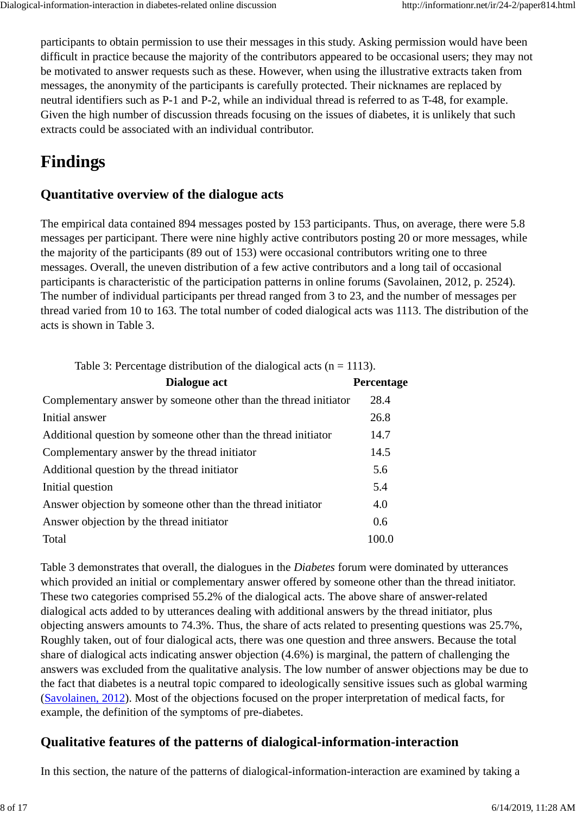participants to obtain permission to use their messages in this study. Asking permission would have been difficult in practice because the majority of the contributors appeared to be occasional users; they may not be motivated to answer requests such as these. However, when using the illustrative extracts taken from messages, the anonymity of the participants is carefully protected. Their nicknames are replaced by neutral identifiers such as P-1 and P-2, while an individual thread is referred to as T-48, for example. Given the high number of discussion threads focusing on the issues of diabetes, it is unlikely that such extracts could be associated with an individual contributor.

# **Findings**

### **Quantitative overview of the dialogue acts**

The empirical data contained 894 messages posted by 153 participants. Thus, on average, there were 5.8 messages per participant. There were nine highly active contributors posting 20 or more messages, while the majority of the participants (89 out of 153) were occasional contributors writing one to three messages. Overall, the uneven distribution of a few active contributors and a long tail of occasional participants is characteristic of the participation patterns in online forums (Savolainen, 2012, p. 2524). The number of individual participants per thread ranged from 3 to 23, and the number of messages per thread varied from 10 to 163. The total number of coded dialogical acts was 1113. The distribution of the acts is shown in Table 3.

Table 3: Percentage distribution of the dialogical acts ( $n = 1113$ ).

| Dialogue act                                                    | Percentage |
|-----------------------------------------------------------------|------------|
| Complementary answer by someone other than the thread initiator | 28.4       |
| Initial answer                                                  | 26.8       |
| Additional question by someone other than the thread initiator  | 14.7       |
| Complementary answer by the thread initiator                    | 14.5       |
| Additional question by the thread initiator                     | 5.6        |
| Initial question                                                | 5.4        |
| Answer objection by some other than the thread initiator        | 4.0        |
| Answer objection by the thread initiator                        | 0.6        |
| Total                                                           | 100.0      |

Table 3 demonstrates that overall, the dialogues in the *Diabetes* forum were dominated by utterances which provided an initial or complementary answer offered by someone other than the thread initiator. These two categories comprised 55.2% of the dialogical acts. The above share of answer-related dialogical acts added to by utterances dealing with additional answers by the thread initiator, plus objecting answers amounts to 74.3%. Thus, the share of acts related to presenting questions was 25.7%, Roughly taken, out of four dialogical acts, there was one question and three answers. Because the total share of dialogical acts indicating answer objection (4.6%) is marginal, the pattern of challenging the answers was excluded from the qualitative analysis. The low number of answer objections may be due to the fact that diabetes is a neutral topic compared to ideologically sensitive issues such as global warming (Savolainen, 2012). Most of the objections focused on the proper interpretation of medical facts, for example, the definition of the symptoms of pre-diabetes.

### **Qualitative features of the patterns of dialogical-information-interaction**

In this section, the nature of the patterns of dialogical-information-interaction are examined by taking a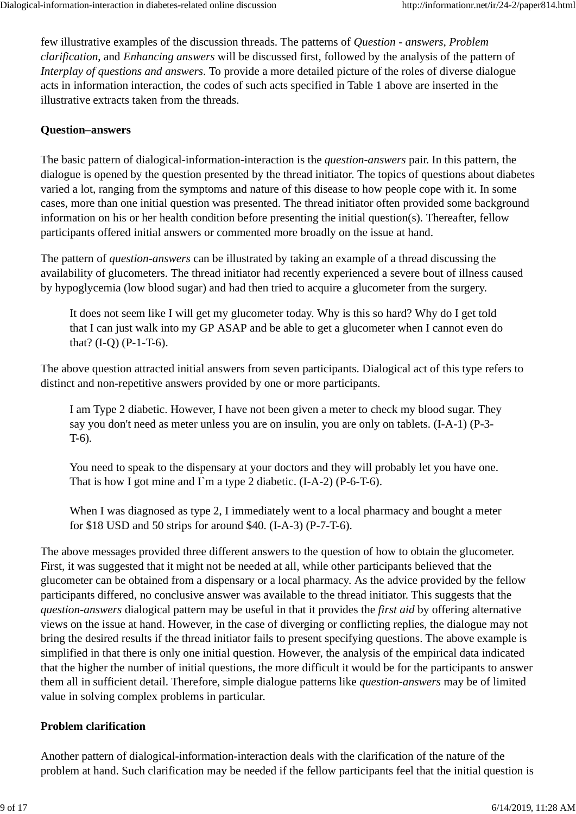few illustrative examples of the discussion threads. The patterns of *Question - answers*, *Problem clarification*, and *Enhancing answers* will be discussed first, followed by the analysis of the pattern of *Interplay of questions and answers*. To provide a more detailed picture of the roles of diverse dialogue acts in information interaction, the codes of such acts specified in Table 1 above are inserted in the illustrative extracts taken from the threads.

#### **Question–answers**

The basic pattern of dialogical-information-interaction is the *question-answers* pair. In this pattern, the dialogue is opened by the question presented by the thread initiator. The topics of questions about diabetes varied a lot, ranging from the symptoms and nature of this disease to how people cope with it. In some cases, more than one initial question was presented. The thread initiator often provided some background information on his or her health condition before presenting the initial question(s). Thereafter, fellow participants offered initial answers or commented more broadly on the issue at hand.

The pattern of *question-answers* can be illustrated by taking an example of a thread discussing the availability of glucometers. The thread initiator had recently experienced a severe bout of illness caused by hypoglycemia (low blood sugar) and had then tried to acquire a glucometer from the surgery.

It does not seem like I will get my glucometer today. Why is this so hard? Why do I get told that I can just walk into my GP ASAP and be able to get a glucometer when I cannot even do that? (I-Q) (P-1-T-6).

The above question attracted initial answers from seven participants. Dialogical act of this type refers to distinct and non-repetitive answers provided by one or more participants.

I am Type 2 diabetic. However, I have not been given a meter to check my blood sugar. They say you don't need as meter unless you are on insulin, you are only on tablets. (I-A-1) (P-3- T-6).

You need to speak to the dispensary at your doctors and they will probably let you have one. That is how I got mine and  $\Gamma$ m a type 2 diabetic. (I-A-2) (P-6-T-6).

When I was diagnosed as type 2, I immediately went to a local pharmacy and bought a meter for \$18 USD and 50 strips for around \$40. (I-A-3) (P-7-T-6).

The above messages provided three different answers to the question of how to obtain the glucometer. First, it was suggested that it might not be needed at all, while other participants believed that the glucometer can be obtained from a dispensary or a local pharmacy. As the advice provided by the fellow participants differed, no conclusive answer was available to the thread initiator. This suggests that the *question-answers* dialogical pattern may be useful in that it provides the *first aid* by offering alternative views on the issue at hand. However, in the case of diverging or conflicting replies, the dialogue may not bring the desired results if the thread initiator fails to present specifying questions. The above example is simplified in that there is only one initial question. However, the analysis of the empirical data indicated that the higher the number of initial questions, the more difficult it would be for the participants to answer them all in sufficient detail. Therefore, simple dialogue patterns like *question-answers* may be of limited value in solving complex problems in particular.

#### **Problem clarification**

Another pattern of dialogical-information-interaction deals with the clarification of the nature of the problem at hand. Such clarification may be needed if the fellow participants feel that the initial question is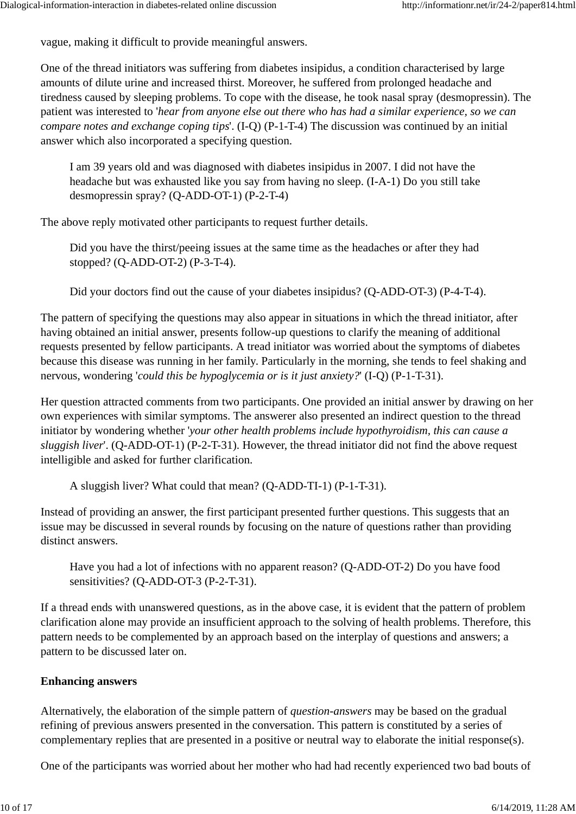vague, making it difficult to provide meaningful answers.

One of the thread initiators was suffering from diabetes insipidus, a condition characterised by large amounts of dilute urine and increased thirst. Moreover, he suffered from prolonged headache and tiredness caused by sleeping problems. To cope with the disease, he took nasal spray (desmopressin). The patient was interested to '*hear from anyone else out there who has had a similar experience, so we can compare notes and exchange coping tips*'. (I-Q) (P-1-T-4) The discussion was continued by an initial answer which also incorporated a specifying question.

I am 39 years old and was diagnosed with diabetes insipidus in 2007. I did not have the headache but was exhausted like you say from having no sleep. (I-A-1) Do you still take desmopressin spray? (Q-ADD-OT-1) (P-2-T-4)

The above reply motivated other participants to request further details.

Did you have the thirst/peeing issues at the same time as the headaches or after they had stopped? (Q-ADD-OT-2) (P-3-T-4).

Did your doctors find out the cause of your diabetes insipidus? (Q-ADD-OT-3) (P-4-T-4).

The pattern of specifying the questions may also appear in situations in which the thread initiator, after having obtained an initial answer, presents follow-up questions to clarify the meaning of additional requests presented by fellow participants. A tread initiator was worried about the symptoms of diabetes because this disease was running in her family. Particularly in the morning, she tends to feel shaking and nervous, wondering '*could this be hypoglycemia or is it just anxiety?*' (I-Q) (P-1-T-31).

Her question attracted comments from two participants. One provided an initial answer by drawing on her own experiences with similar symptoms. The answerer also presented an indirect question to the thread initiator by wondering whether '*your other health problems include hypothyroidism, this can cause a sluggish liver*'. (Q-ADD-OT-1) (P-2-T-31). However, the thread initiator did not find the above request intelligible and asked for further clarification.

A sluggish liver? What could that mean? (Q-ADD-TI-1) (P-1-T-31).

Instead of providing an answer, the first participant presented further questions. This suggests that an issue may be discussed in several rounds by focusing on the nature of questions rather than providing distinct answers.

Have you had a lot of infections with no apparent reason? (Q-ADD-OT-2) Do you have food sensitivities? (Q-ADD-OT-3 (P-2-T-31).

If a thread ends with unanswered questions, as in the above case, it is evident that the pattern of problem clarification alone may provide an insufficient approach to the solving of health problems. Therefore, this pattern needs to be complemented by an approach based on the interplay of questions and answers; a pattern to be discussed later on.

#### **Enhancing answers**

Alternatively, the elaboration of the simple pattern of *question-answers* may be based on the gradual refining of previous answers presented in the conversation. This pattern is constituted by a series of complementary replies that are presented in a positive or neutral way to elaborate the initial response(s).

One of the participants was worried about her mother who had had recently experienced two bad bouts of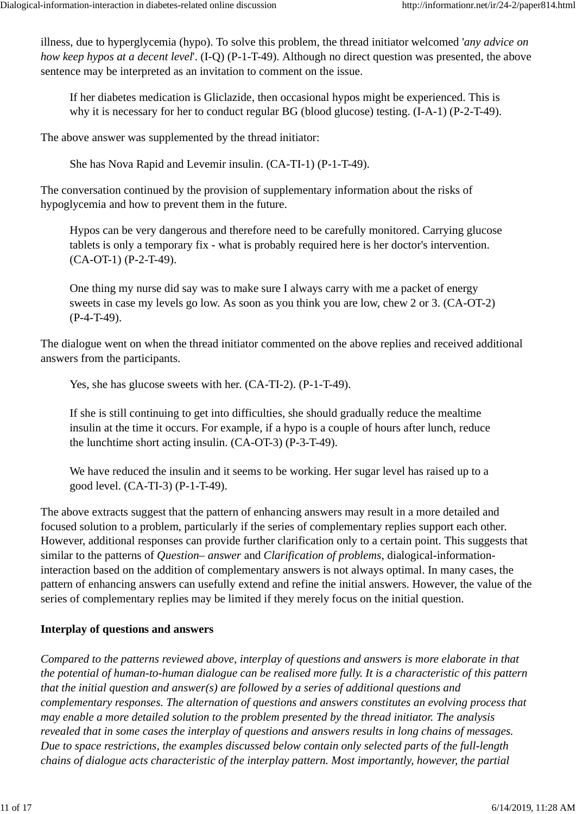illness, due to hyperglycemia (hypo). To solve this problem, the thread initiator welcomed '*any advice on how keep hypos at a decent level*'. (I-Q) (P-1-T-49). Although no direct question was presented, the above sentence may be interpreted as an invitation to comment on the issue.

If her diabetes medication is Gliclazide, then occasional hypos might be experienced. This is why it is necessary for her to conduct regular BG (blood glucose) testing. (I-A-1) (P-2-T-49).

The above answer was supplemented by the thread initiator:

She has Nova Rapid and Levemir insulin. (CA-TI-1) (P-1-T-49).

The conversation continued by the provision of supplementary information about the risks of hypoglycemia and how to prevent them in the future.

Hypos can be very dangerous and therefore need to be carefully monitored. Carrying glucose tablets is only a temporary fix - what is probably required here is her doctor's intervention. (CA-OT-1) (P-2-T-49).

One thing my nurse did say was to make sure I always carry with me a packet of energy sweets in case my levels go low. As soon as you think you are low, chew 2 or 3. (CA-OT-2) (P-4-T-49).

The dialogue went on when the thread initiator commented on the above replies and received additional answers from the participants.

Yes, she has glucose sweets with her. (CA-TI-2). (P-1-T-49).

If she is still continuing to get into difficulties, she should gradually reduce the mealtime insulin at the time it occurs. For example, if a hypo is a couple of hours after lunch, reduce the lunchtime short acting insulin. (CA-OT-3) (P-3-T-49).

We have reduced the insulin and it seems to be working. Her sugar level has raised up to a good level. (CA-TI-3) (P-1-T-49).

The above extracts suggest that the pattern of enhancing answers may result in a more detailed and focused solution to a problem, particularly if the series of complementary replies support each other. However, additional responses can provide further clarification only to a certain point. This suggests that similar to the patterns of *Question– answer* and *Clarification of problems*, dialogical-informationinteraction based on the addition of complementary answers is not always optimal. In many cases, the pattern of enhancing answers can usefully extend and refine the initial answers. However, the value of the series of complementary replies may be limited if they merely focus on the initial question.

#### **Interplay of questions and answers**

*Compared to the patterns reviewed above, interplay of questions and answers is more elaborate in that the potential of human-to-human dialogue can be realised more fully. It is a characteristic of this pattern that the initial question and answer(s) are followed by a series of additional questions and complementary responses. The alternation of questions and answers constitutes an evolving process that may enable a more detailed solution to the problem presented by the thread initiator. The analysis revealed that in some cases the interplay of questions and answers results in long chains of messages. Due to space restrictions, the examples discussed below contain only selected parts of the full-length chains of dialogue acts characteristic of the interplay pattern. Most importantly, however, the partial*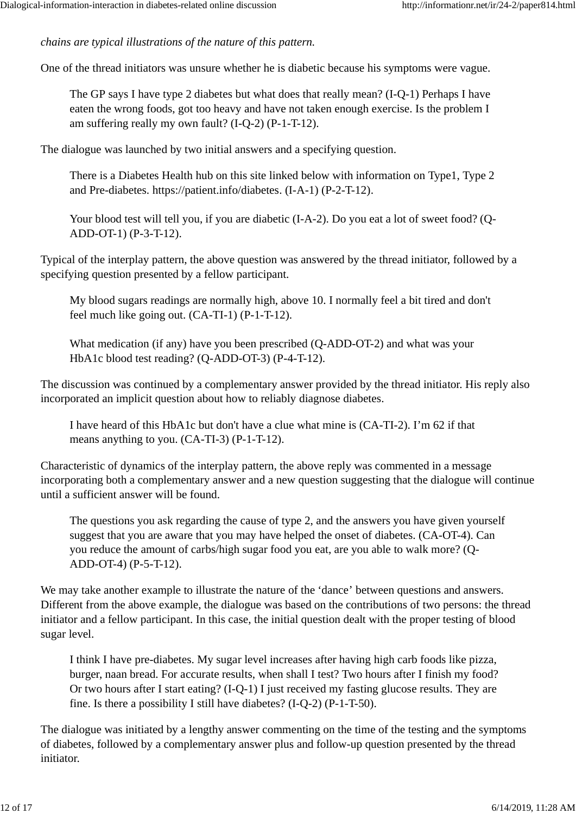*chains are typical illustrations of the nature of this pattern.*

One of the thread initiators was unsure whether he is diabetic because his symptoms were vague.

The GP says I have type 2 diabetes but what does that really mean? (I-Q-1) Perhaps I have eaten the wrong foods, got too heavy and have not taken enough exercise. Is the problem I am suffering really my own fault? (I-Q-2) (P-1-T-12).

The dialogue was launched by two initial answers and a specifying question.

There is a Diabetes Health hub on this site linked below with information on Type1, Type 2 and Pre-diabetes. https://patient.info/diabetes. (I-A-1) (P-2-T-12).

Your blood test will tell you, if you are diabetic (I-A-2). Do you eat a lot of sweet food? (Q-ADD-OT-1) (P-3-T-12).

Typical of the interplay pattern, the above question was answered by the thread initiator, followed by a specifying question presented by a fellow participant.

My blood sugars readings are normally high, above 10. I normally feel a bit tired and don't feel much like going out. (CA-TI-1) (P-1-T-12).

What medication (if any) have you been prescribed (Q-ADD-OT-2) and what was your HbA1c blood test reading? (Q-ADD-OT-3) (P-4-T-12).

The discussion was continued by a complementary answer provided by the thread initiator. His reply also incorporated an implicit question about how to reliably diagnose diabetes.

I have heard of this HbA1c but don't have a clue what mine is (CA-TI-2). I'm 62 if that means anything to you. (CA-TI-3) (P-1-T-12).

Characteristic of dynamics of the interplay pattern, the above reply was commented in a message incorporating both a complementary answer and a new question suggesting that the dialogue will continue until a sufficient answer will be found.

The questions you ask regarding the cause of type 2, and the answers you have given yourself suggest that you are aware that you may have helped the onset of diabetes. (CA-OT-4). Can you reduce the amount of carbs/high sugar food you eat, are you able to walk more? (Q-ADD-OT-4) (P-5-T-12).

We may take another example to illustrate the nature of the 'dance' between questions and answers. Different from the above example, the dialogue was based on the contributions of two persons: the thread initiator and a fellow participant. In this case, the initial question dealt with the proper testing of blood sugar level.

I think I have pre-diabetes. My sugar level increases after having high carb foods like pizza, burger, naan bread. For accurate results, when shall I test? Two hours after I finish my food? Or two hours after I start eating? (I-Q-1) I just received my fasting glucose results. They are fine. Is there a possibility I still have diabetes? (I-Q-2) (P-1-T-50).

The dialogue was initiated by a lengthy answer commenting on the time of the testing and the symptoms of diabetes, followed by a complementary answer plus and follow-up question presented by the thread initiator.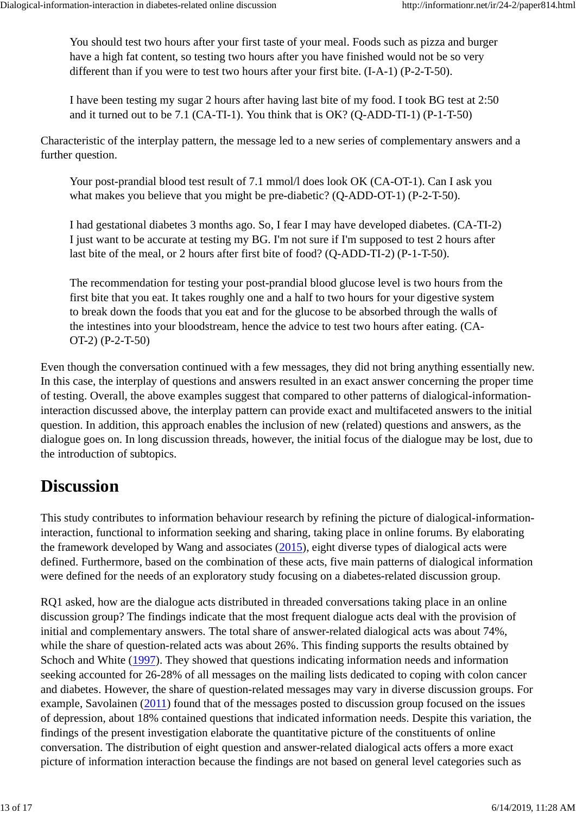You should test two hours after your first taste of your meal. Foods such as pizza and burger have a high fat content, so testing two hours after you have finished would not be so very different than if you were to test two hours after your first bite. (I-A-1) (P-2-T-50).

I have been testing my sugar 2 hours after having last bite of my food. I took BG test at 2:50 and it turned out to be 7.1 (CA-TI-1). You think that is OK? (Q-ADD-TI-1) (P-1-T-50)

Characteristic of the interplay pattern, the message led to a new series of complementary answers and a further question.

Your post-prandial blood test result of 7.1 mmol/l does look OK (CA-OT-1). Can I ask you what makes you believe that you might be pre-diabetic? (Q-ADD-OT-1) (P-2-T-50).

I had gestational diabetes 3 months ago. So, I fear I may have developed diabetes. (CA-TI-2) I just want to be accurate at testing my BG. I'm not sure if I'm supposed to test 2 hours after last bite of the meal, or 2 hours after first bite of food? (Q-ADD-TI-2) (P-1-T-50).

The recommendation for testing your post-prandial blood glucose level is two hours from the first bite that you eat. It takes roughly one and a half to two hours for your digestive system to break down the foods that you eat and for the glucose to be absorbed through the walls of the intestines into your bloodstream, hence the advice to test two hours after eating. (CA-OT-2) (P-2-T-50)

Even though the conversation continued with a few messages, they did not bring anything essentially new. In this case, the interplay of questions and answers resulted in an exact answer concerning the proper time of testing. Overall, the above examples suggest that compared to other patterns of dialogical-informationinteraction discussed above, the interplay pattern can provide exact and multifaceted answers to the initial question. In addition, this approach enables the inclusion of new (related) questions and answers, as the dialogue goes on. In long discussion threads, however, the initial focus of the dialogue may be lost, due to the introduction of subtopics.

# **Discussion**

This study contributes to information behaviour research by refining the picture of dialogical-informationinteraction, functional to information seeking and sharing, taking place in online forums. By elaborating the framework developed by Wang and associates (2015), eight diverse types of dialogical acts were defined. Furthermore, based on the combination of these acts, five main patterns of dialogical information were defined for the needs of an exploratory study focusing on a diabetes-related discussion group.

RQ1 asked, how are the dialogue acts distributed in threaded conversations taking place in an online discussion group? The findings indicate that the most frequent dialogue acts deal with the provision of initial and complementary answers. The total share of answer-related dialogical acts was about 74%, while the share of question-related acts was about 26%. This finding supports the results obtained by Schoch and White (1997). They showed that questions indicating information needs and information seeking accounted for 26-28% of all messages on the mailing lists dedicated to coping with colon cancer and diabetes. However, the share of question-related messages may vary in diverse discussion groups. For example, Savolainen (2011) found that of the messages posted to discussion group focused on the issues of depression, about 18% contained questions that indicated information needs. Despite this variation, the findings of the present investigation elaborate the quantitative picture of the constituents of online conversation. The distribution of eight question and answer-related dialogical acts offers a more exact picture of information interaction because the findings are not based on general level categories such as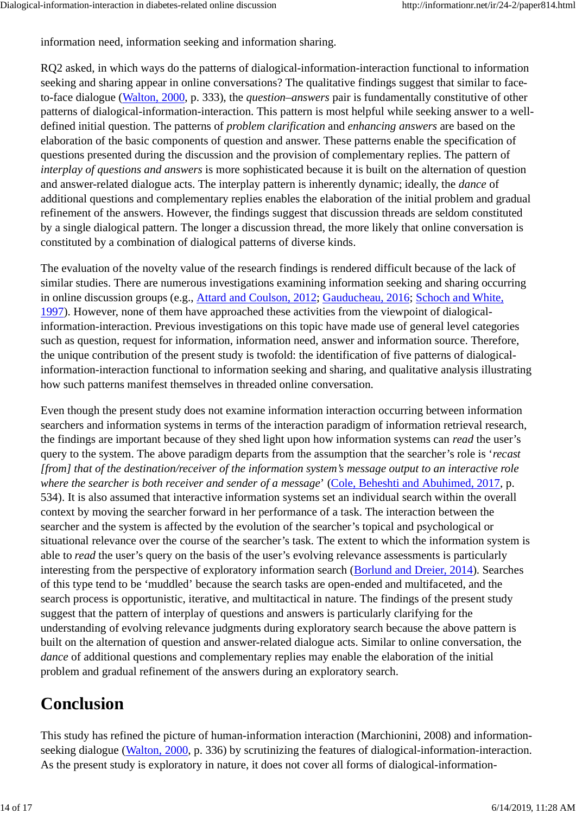information need, information seeking and information sharing.

RQ2 asked, in which ways do the patterns of dialogical-information-interaction functional to information seeking and sharing appear in online conversations? The qualitative findings suggest that similar to faceto-face dialogue (Walton, 2000, p. 333), the *question–answers* pair is fundamentally constitutive of other patterns of dialogical-information-interaction. This pattern is most helpful while seeking answer to a welldefined initial question. The patterns of *problem clarification* and *enhancing answers* are based on the elaboration of the basic components of question and answer. These patterns enable the specification of questions presented during the discussion and the provision of complementary replies. The pattern of *interplay of questions and answers* is more sophisticated because it is built on the alternation of question and answer-related dialogue acts. The interplay pattern is inherently dynamic; ideally, the *dance* of additional questions and complementary replies enables the elaboration of the initial problem and gradual refinement of the answers. However, the findings suggest that discussion threads are seldom constituted by a single dialogical pattern. The longer a discussion thread, the more likely that online conversation is constituted by a combination of dialogical patterns of diverse kinds.

The evaluation of the novelty value of the research findings is rendered difficult because of the lack of similar studies. There are numerous investigations examining information seeking and sharing occurring in online discussion groups (e.g., Attard and Coulson, 2012; Gauducheau, 2016; Schoch and White, 1997). However, none of them have approached these activities from the viewpoint of dialogicalinformation-interaction. Previous investigations on this topic have made use of general level categories such as question, request for information, information need, answer and information source. Therefore, the unique contribution of the present study is twofold: the identification of five patterns of dialogicalinformation-interaction functional to information seeking and sharing, and qualitative analysis illustrating how such patterns manifest themselves in threaded online conversation.

Even though the present study does not examine information interaction occurring between information searchers and information systems in terms of the interaction paradigm of information retrieval research, the findings are important because of they shed light upon how information systems can *read* the user's query to the system. The above paradigm departs from the assumption that the searcher's role is '*recast [from] that of the destination/receiver of the information system's message output to an interactive role where the searcher is both receiver and sender of a message*' (Cole, Beheshti and Abuhimed, 2017, p. 534). It is also assumed that interactive information systems set an individual search within the overall context by moving the searcher forward in her performance of a task. The interaction between the searcher and the system is affected by the evolution of the searcher's topical and psychological or situational relevance over the course of the searcher's task. The extent to which the information system is able to *read* the user's query on the basis of the user's evolving relevance assessments is particularly interesting from the perspective of exploratory information search (Borlund and Dreier, 2014). Searches of this type tend to be 'muddled' because the search tasks are open-ended and multifaceted, and the search process is opportunistic, iterative, and multitactical in nature. The findings of the present study suggest that the pattern of interplay of questions and answers is particularly clarifying for the understanding of evolving relevance judgments during exploratory search because the above pattern is built on the alternation of question and answer-related dialogue acts. Similar to online conversation, the *dance* of additional questions and complementary replies may enable the elaboration of the initial problem and gradual refinement of the answers during an exploratory search.

# **Conclusion**

This study has refined the picture of human-information interaction (Marchionini, 2008) and informationseeking dialogue (Walton, 2000, p. 336) by scrutinizing the features of dialogical-information-interaction. As the present study is exploratory in nature, it does not cover all forms of dialogical-information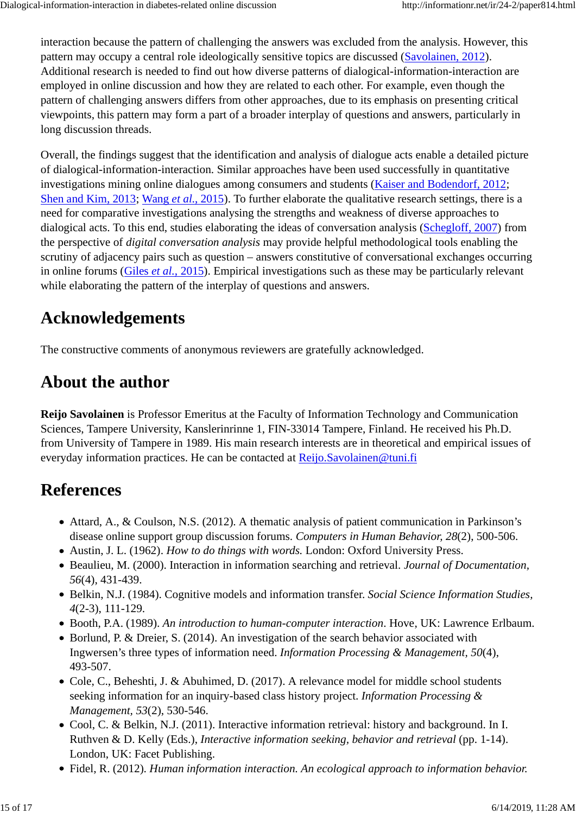interaction because the pattern of challenging the answers was excluded from the analysis. However, this pattern may occupy a central role ideologically sensitive topics are discussed (Savolainen, 2012). Additional research is needed to find out how diverse patterns of dialogical-information-interaction are employed in online discussion and how they are related to each other. For example, even though the pattern of challenging answers differs from other approaches, due to its emphasis on presenting critical viewpoints, this pattern may form a part of a broader interplay of questions and answers, particularly in long discussion threads.

Overall, the findings suggest that the identification and analysis of dialogue acts enable a detailed picture of dialogical-information-interaction. Similar approaches have been used successfully in quantitative investigations mining online dialogues among consumers and students (Kaiser and Bodendorf, 2012; Shen and Kim, 2013; Wang *et al.*, 2015). To further elaborate the qualitative research settings, there is a need for comparative investigations analysing the strengths and weakness of diverse approaches to dialogical acts. To this end, studies elaborating the ideas of conversation analysis (Schegloff, 2007) from the perspective of *digital conversation analysis* may provide helpful methodological tools enabling the scrutiny of adjacency pairs such as question – answers constitutive of conversational exchanges occurring in online forums (Giles *et al.*, 2015). Empirical investigations such as these may be particularly relevant while elaborating the pattern of the interplay of questions and answers.

# **Acknowledgements**

The constructive comments of anonymous reviewers are gratefully acknowledged.

# **About the author**

**Reijo Savolainen** is Professor Emeritus at the Faculty of Information Technology and Communication Sciences, Tampere University, Kanslerinrinne 1, FIN-33014 Tampere, Finland. He received his Ph.D. from University of Tampere in 1989. His main research interests are in theoretical and empirical issues of everyday information practices. He can be contacted at Reijo.Savolainen@tuni.fi

# **References**

- Attard, A., & Coulson, N.S. (2012). A thematic analysis of patient communication in Parkinson's disease online support group discussion forums. *Computers in Human Behavior, 28*(2), 500-506.
- Austin, J. L. (1962). *How to do things with words.* London: Oxford University Press.
- Beaulieu, M. (2000). Interaction in information searching and retrieval. *Journal of Documentation, 56*(4), 431-439.
- Belkin, N.J. (1984). Cognitive models and information transfer. *Social Science Information Studies, 4*(2-3), 111-129.
- Booth, P.A. (1989). *An introduction to human-computer interaction*. Hove, UK: Lawrence Erlbaum.
- Borlund, P. & Dreier, S. (2014). An investigation of the search behavior associated with Ingwersen's three types of information need. *Information Processing & Management, 50*(4), 493-507.
- Cole, C., Beheshti, J. & Abuhimed, D. (2017). A relevance model for middle school students seeking information for an inquiry-based class history project. *Information Processing & Management, 53*(2), 530-546.
- Cool, C. & Belkin, N.J. (2011). Interactive information retrieval: history and background. In I. Ruthven & D. Kelly (Eds.), *Interactive information seeking, behavior and retrieval* (pp. 1-14). London, UK: Facet Publishing.
- Fidel, R. (2012). *Human information interaction. An ecological approach to information behavior.*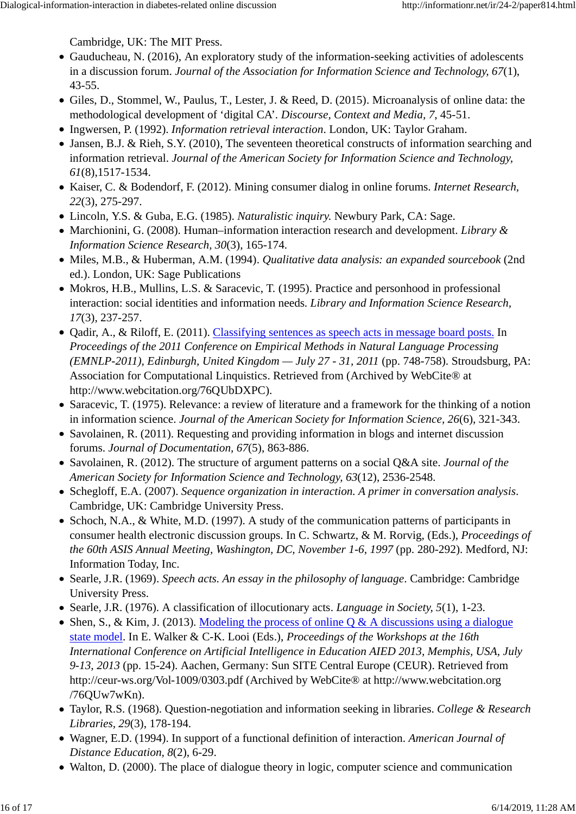Cambridge, UK: The MIT Press.

- Gauducheau, N. (2016), An exploratory study of the information-seeking activities of adolescents in a discussion forum. *Journal of the Association for Information Science and Technology, 67*(1), 43-55.
- Giles, D., Stommel, W., Paulus, T., Lester, J. & Reed, D. (2015). Microanalysis of online data: the methodological development of 'digital CA'. *Discourse, Context and Media, 7*, 45-51.
- Ingwersen, P. (1992). *Information retrieval interaction*. London, UK: Taylor Graham.
- Jansen, B.J. & Rieh, S.Y. (2010). The seventeen theoretical constructs of information searching and information retrieval. *Journal of the American Society for Information Science and Technology, 61*(8),1517-1534.
- Kaiser, C. & Bodendorf, F. (2012). Mining consumer dialog in online forums. *Internet Research, 22*(3), 275-297.
- Lincoln, Y.S. & Guba, E.G. (1985). *Naturalistic inquiry.* Newbury Park, CA: Sage.
- Marchionini, G. (2008). Human–information interaction research and development. *Library & Information Science Research, 30*(3), 165-174.
- Miles, M.B., & Huberman, A.M. (1994). *Qualitative data analysis: an expanded sourcebook* (2nd ed.). London, UK: Sage Publications
- Mokros, H.B., Mullins, L.S. & Saracevic, T. (1995). Practice and personhood in professional interaction: social identities and information needs. *Library and Information Science Research, 17*(3), 237-257.
- Qadir, A., & Riloff, E. (2011). Classifying sentences as speech acts in message board posts. In *Proceedings of the 2011 Conference on Empirical Methods in Natural Language Processing (EMNLP-2011), Edinburgh, United Kingdom — July 27 - 31, 2011* (pp. 748-758). Stroudsburg, PA: Association for Computational Linquistics. Retrieved from (Archived by WebCite® at http://www.webcitation.org/76QUbDXPC).
- Saracevic, T. (1975). Relevance: a review of literature and a framework for the thinking of a notion in information science. *Journal of the American Society for Information Science, 26*(6), 321-343.
- Savolainen, R. (2011). Requesting and providing information in blogs and internet discussion forums. *Journal of Documentation, 67*(5), 863-886.
- Savolainen, R. (2012). The structure of argument patterns on a social Q&A site. *Journal of the American Society for Information Science and Technology, 63*(12), 2536-2548.
- Schegloff, E.A. (2007). *Sequence organization in interaction. A primer in conversation analysis*. Cambridge, UK: Cambridge University Press.
- Schoch, N.A., & White, M.D. (1997). A study of the communication patterns of participants in consumer health electronic discussion groups. In C. Schwartz, & M. Rorvig, (Eds.), *Proceedings of the 60th ASIS Annual Meeting, Washington, DC, November 1-6, 1997* (pp. 280-292). Medford, NJ: Information Today, Inc.
- Searle, J.R. (1969). *Speech acts. An essay in the philosophy of language.* Cambridge: Cambridge University Press.
- Searle, J.R. (1976). A classification of illocutionary acts. *Language in Society, 5*(1), 1-23.
- Shen, S., & Kim, J. (2013). Modeling the process of online  $Q \& A$  discussions using a dialogue state model. In E. Walker & C-K. Looi (Eds.), *Proceedings of the Workshops at the 16th International Conference on Artificial Intelligence in Education AIED 2013, Memphis, USA, July 9-13, 2013* (pp. 15-24). Aachen, Germany: Sun SITE Central Europe (CEUR). Retrieved from http://ceur-ws.org/Vol-1009/0303.pdf (Archived by WebCite® at http://www.webcitation.org /76QUw7wKn).
- Taylor, R.S. (1968). Question-negotiation and information seeking in libraries. *College & Research Libraries, 29*(3), 178-194.
- Wagner, E.D. (1994). In support of a functional definition of interaction. *American Journal of Distance Education, 8*(2), 6-29.
- Walton, D. (2000). The place of dialogue theory in logic, computer science and communication